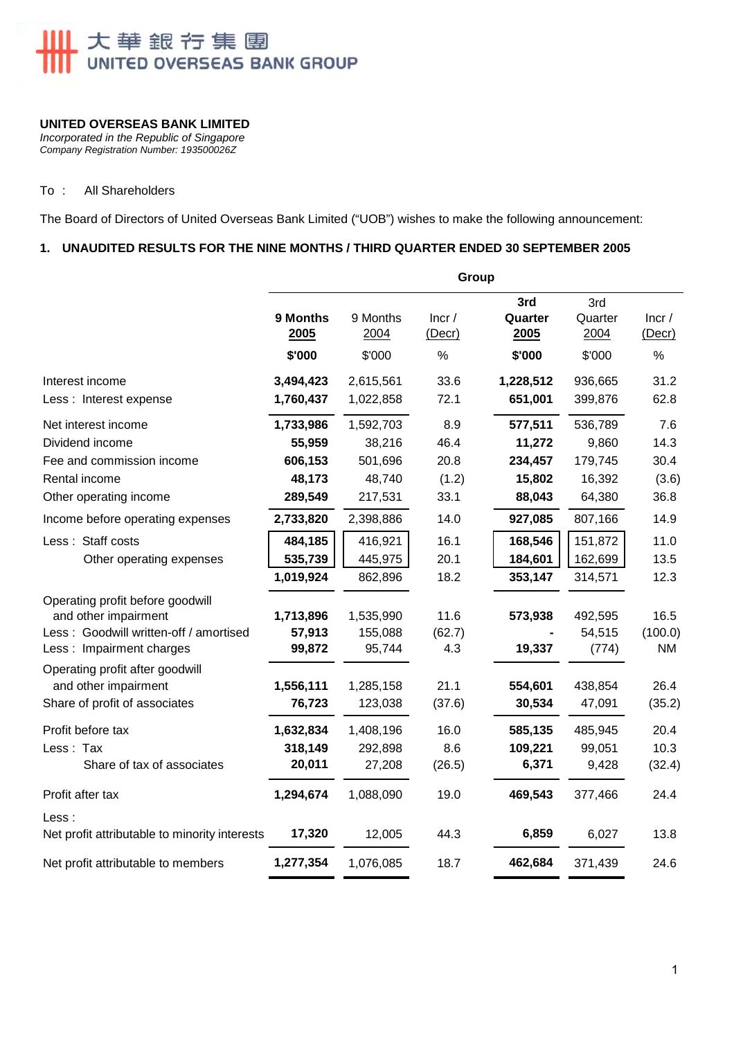# 大華銀行集團<br>UNITED OVERSEAS BANK GROUP

#### **UNITED OVERSEAS BANK LIMITED**

*Incorporated in the Republic of Singapore Company Registration Number: 193500026Z* 

#### To : All Shareholders

The Board of Directors of United Overseas Bank Limited ("UOB") wishes to make the following announcement:

# **1. UNAUDITED RESULTS FOR THE NINE MONTHS / THIRD QUARTER ENDED 30 SEPTEMBER 2005**

| 9 Months<br>2005              | 9 Months<br>2004                 | Incr/<br>(Decr)                  | 3rd<br>Quarter<br>2005             | 3rd<br>Quarter<br>2004                                                | Incr/<br>(Decr)<br>%                             |
|-------------------------------|----------------------------------|----------------------------------|------------------------------------|-----------------------------------------------------------------------|--------------------------------------------------|
|                               |                                  |                                  |                                    |                                                                       |                                                  |
|                               |                                  |                                  |                                    |                                                                       | 31.2<br>62.8                                     |
|                               |                                  |                                  |                                    |                                                                       |                                                  |
| 1,733,986                     | 1,592,703                        | 8.9                              | 577,511                            | 536,789                                                               | 7.6                                              |
| 55,959                        | 38,216                           | 46.4                             | 11,272                             | 9,860                                                                 | 14.3                                             |
| 606,153                       | 501,696                          | 20.8                             | 234,457                            | 179,745                                                               | 30.4                                             |
| 48,173                        | 48,740                           |                                  |                                    |                                                                       | (3.6)                                            |
| 289,549                       | 217,531                          |                                  |                                    | 64,380                                                                | 36.8                                             |
| 2,733,820                     | 2,398,886                        | 14.0                             | 927,085                            | 807,166                                                               | 14.9                                             |
| 484,185                       | 416,921                          | 16.1                             | 168,546                            | 151,872                                                               | 11.0                                             |
| 535,739                       | 445,975                          | 20.1                             | 184,601                            | 162,699                                                               | 13.5                                             |
| 1,019,924                     | 862,896                          | 18.2                             | 353,147                            | 314,571                                                               | 12.3                                             |
| 1,713,896<br>57,913<br>99,872 | 1,535,990<br>155,088<br>95,744   | 11.6<br>(62.7)<br>4.3            | 573,938<br>19,337                  | 492,595<br>54,515<br>(774)                                            | 16.5<br>(100.0)<br><b>NM</b>                     |
|                               |                                  |                                  |                                    |                                                                       |                                                  |
| 1,556,111                     | 1,285,158                        | 21.1                             | 554,601                            | 438,854                                                               | 26.4                                             |
| 76,723                        | 123,038                          | (37.6)                           |                                    |                                                                       | (35.2)                                           |
| 1,632,834                     | 1,408,196                        | 16.0                             | 585,135                            | 485,945                                                               | 20.4                                             |
| 318,149                       | 292,898                          | 8.6                              | 109,221                            | 99,051                                                                | 10.3                                             |
| 20,011                        | 27,208                           | (26.5)                           | 6,371                              | 9,428                                                                 | (32.4)                                           |
| 1,294,674                     | 1,088,090                        | 19.0                             | 469,543                            | 377,466                                                               | 24.4                                             |
| 17,320                        | 12,005                           | 44.3                             | 6,859                              | 6,027                                                                 | 13.8                                             |
| 1,277,354                     | 1,076,085                        | 18.7                             | 462,684                            | 371,439                                                               | 24.6                                             |
|                               | \$'000<br>3,494,423<br>1,760,437 | \$'000<br>2,615,561<br>1,022,858 | %<br>33.6<br>72.1<br>(1.2)<br>33.1 | Group<br>\$'000<br>1,228,512<br>651,001<br>15,802<br>88,043<br>30,534 | \$'000<br>936,665<br>399,876<br>16,392<br>47,091 |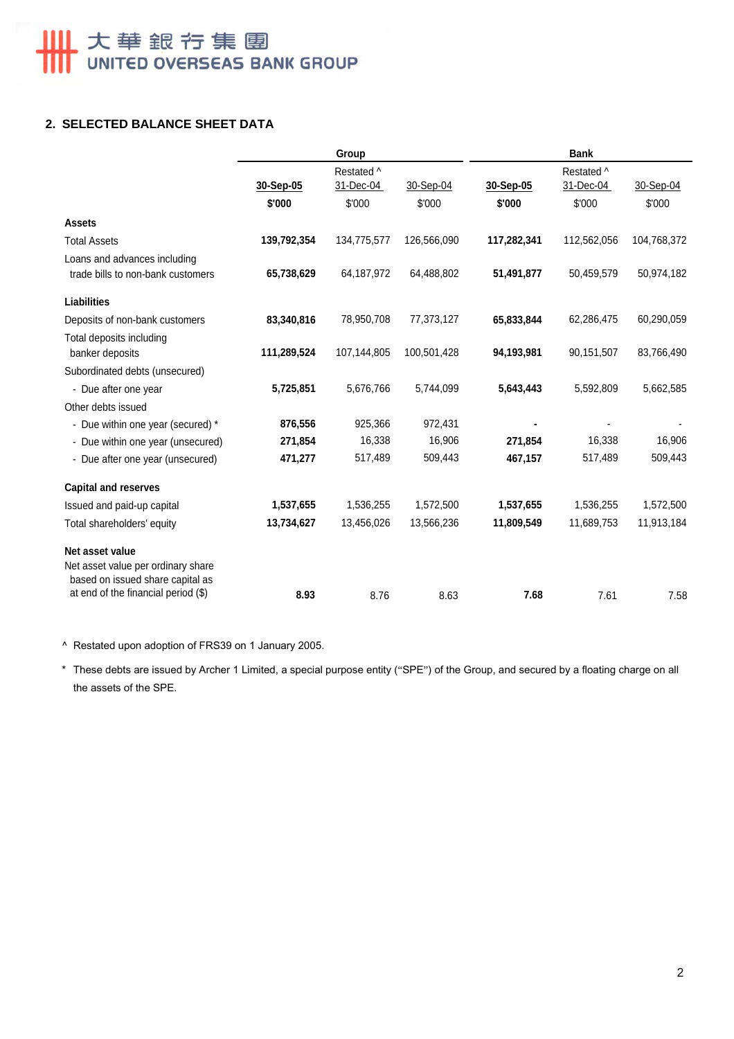# **2. SELECTED BALANCE SHEET DATA**

|                                                                                           | Group       |                         |             | <b>Bank</b> |                         |             |  |
|-------------------------------------------------------------------------------------------|-------------|-------------------------|-------------|-------------|-------------------------|-------------|--|
|                                                                                           | 30-Sep-05   | Restated ^<br>31-Dec-04 | 30-Sep-04   | 30-Sep-05   | Restated ^<br>31-Dec-04 | 30-Sep-04   |  |
|                                                                                           | \$'000      | \$'000                  | \$'000      | \$'000      | \$'000                  | \$'000      |  |
| <b>Assets</b>                                                                             |             |                         |             |             |                         |             |  |
| <b>Total Assets</b>                                                                       | 139,792,354 | 134,775,577             | 126,566,090 | 117,282,341 | 112,562,056             | 104,768,372 |  |
| Loans and advances including                                                              |             |                         |             |             |                         |             |  |
| trade bills to non-bank customers                                                         | 65,738,629  | 64,187,972              | 64,488,802  | 51,491,877  | 50,459,579              | 50,974,182  |  |
| <b>Liabilities</b>                                                                        |             |                         |             |             |                         |             |  |
| Deposits of non-bank customers                                                            | 83,340,816  | 78,950,708              | 77,373,127  | 65,833,844  | 62,286,475              | 60,290,059  |  |
| Total deposits including<br>banker deposits                                               | 111,289,524 | 107,144,805             | 100,501,428 | 94,193,981  | 90,151,507              | 83,766,490  |  |
| Subordinated debts (unsecured)                                                            |             |                         |             |             |                         |             |  |
| - Due after one year                                                                      | 5,725,851   | 5,676,766               | 5,744,099   | 5,643,443   | 5,592,809               | 5,662,585   |  |
| Other debts issued                                                                        |             |                         |             |             |                         |             |  |
| - Due within one year (secured) *                                                         | 876,556     | 925,366                 | 972,431     |             |                         |             |  |
| - Due within one year (unsecured)                                                         | 271,854     | 16,338                  | 16,906      | 271,854     | 16,338                  | 16,906      |  |
| - Due after one year (unsecured)                                                          | 471,277     | 517,489                 | 509,443     | 467,157     | 517,489                 | 509,443     |  |
| <b>Capital and reserves</b>                                                               |             |                         |             |             |                         |             |  |
| Issued and paid-up capital                                                                | 1,537,655   | 1,536,255               | 1,572,500   | 1,537,655   | 1,536,255               | 1,572,500   |  |
| Total shareholders' equity                                                                | 13,734,627  | 13,456,026              | 13,566,236  | 11,809,549  | 11,689,753              | 11,913,184  |  |
| Net asset value<br>Net asset value per ordinary share<br>based on issued share capital as |             |                         |             |             |                         |             |  |
| at end of the financial period $(\$)$                                                     | 8.93        | 8.76                    | 8.63        | 7.68        | 7.61                    | 7.58        |  |

^ Restated upon adoption of FRS39 on 1 January 2005.

\* These debts are issued by Archer 1 Limited, a special purpose entity ("SPE") of the Group, and secured by a floating charge on all the assets of the SPE.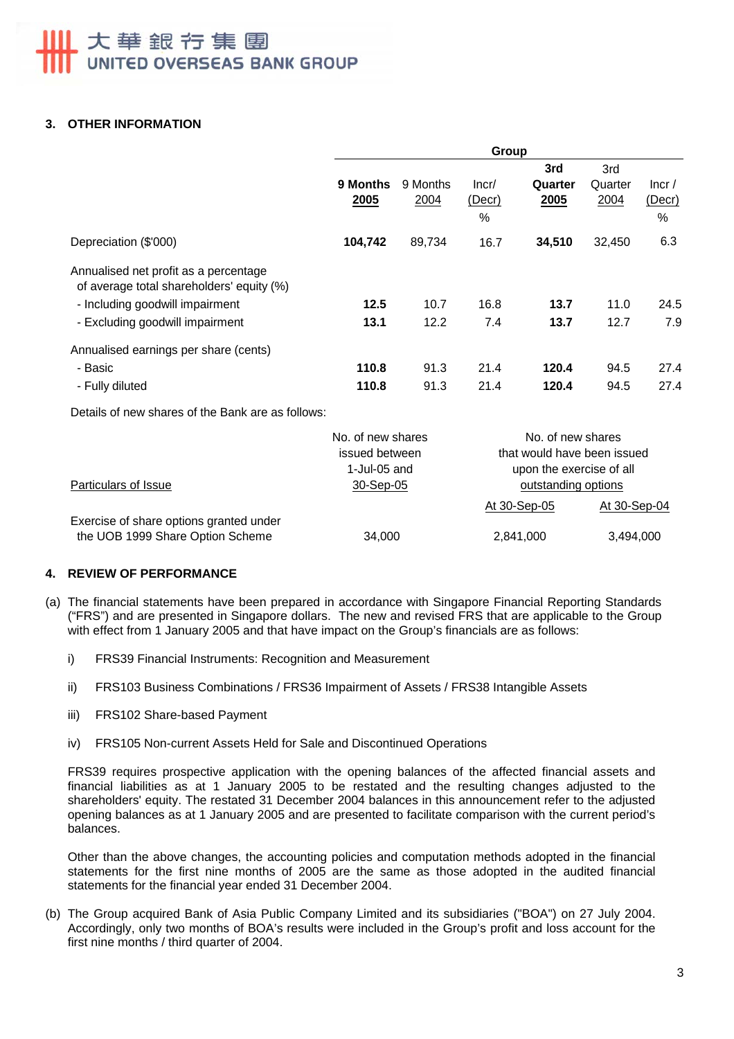# 大華銀行集團 UNITED OVERSEAS BANK GROUP

# **3. OTHER INFORMATION**

|                                                                                    | Group            |                  |                      |                        |                        |                         |
|------------------------------------------------------------------------------------|------------------|------------------|----------------------|------------------------|------------------------|-------------------------|
|                                                                                    | 9 Months<br>2005 | 9 Months<br>2004 | Incr/<br>(Decr)<br>% | 3rd<br>Quarter<br>2005 | 3rd<br>Quarter<br>2004 | lncr/<br>(Decr)<br>$\%$ |
| Depreciation (\$'000)                                                              | 104,742          | 89,734           | 16.7                 | 34,510                 | 32,450                 | 6.3                     |
| Annualised net profit as a percentage<br>of average total shareholders' equity (%) |                  |                  |                      |                        |                        |                         |
| - Including goodwill impairment                                                    | 12.5             | 10.7             | 16.8                 | 13.7                   | 11.0                   | 24.5                    |
| - Excluding goodwill impairment                                                    | 13.1             | 12.2             | 7.4                  | 13.7                   | 12.7                   | 7.9                     |
| Annualised earnings per share (cents)                                              |                  |                  |                      |                        |                        |                         |
| - Basic                                                                            | 110.8            | 91.3             | 21.4                 | 120.4                  | 94.5                   | 27.4                    |
| - Fully diluted                                                                    | 110.8            | 91.3             | 21.4                 | 120.4                  | 94.5                   | 27.4                    |

Details of new shares of the Bank are as follows:

|                                                                             | No. of new shares | No. of new shares           |              |  |
|-----------------------------------------------------------------------------|-------------------|-----------------------------|--------------|--|
|                                                                             | issued between    | that would have been issued |              |  |
|                                                                             | 1-Jul-05 and      | upon the exercise of all    |              |  |
| Particulars of Issue                                                        | 30-Sep-05         | outstanding options         |              |  |
|                                                                             |                   | At 30-Sep-05                | At 30-Sep-04 |  |
| Exercise of share options granted under<br>the UOB 1999 Share Option Scheme | 34,000            | 2,841,000                   | 3,494,000    |  |

# **4. REVIEW OF PERFORMANCE**

- (a) The financial statements have been prepared in accordance with Singapore Financial Reporting Standards ("FRS") and are presented in Singapore dollars. The new and revised FRS that are applicable to the Group with effect from 1 January 2005 and that have impact on the Group's financials are as follows:
	- i) FRS39 Financial Instruments: Recognition and Measurement
	- ii) FRS103 Business Combinations / FRS36 Impairment of Assets / FRS38 Intangible Assets
	- iii) FRS102 Share-based Payment
	- iv) FRS105 Non-current Assets Held for Sale and Discontinued Operations

FRS39 requires prospective application with the opening balances of the affected financial assets and financial liabilities as at 1 January 2005 to be restated and the resulting changes adjusted to the shareholders' equity. The restated 31 December 2004 balances in this announcement refer to the adjusted opening balances as at 1 January 2005 and are presented to facilitate comparison with the current period's balances.

Other than the above changes, the accounting policies and computation methods adopted in the financial statements for the first nine months of 2005 are the same as those adopted in the audited financial statements for the financial year ended 31 December 2004.

(b) The Group acquired Bank of Asia Public Company Limited and its subsidiaries ("BOA") on 27 July 2004. Accordingly, only two months of BOA's results were included in the Group's profit and loss account for the first nine months / third quarter of 2004.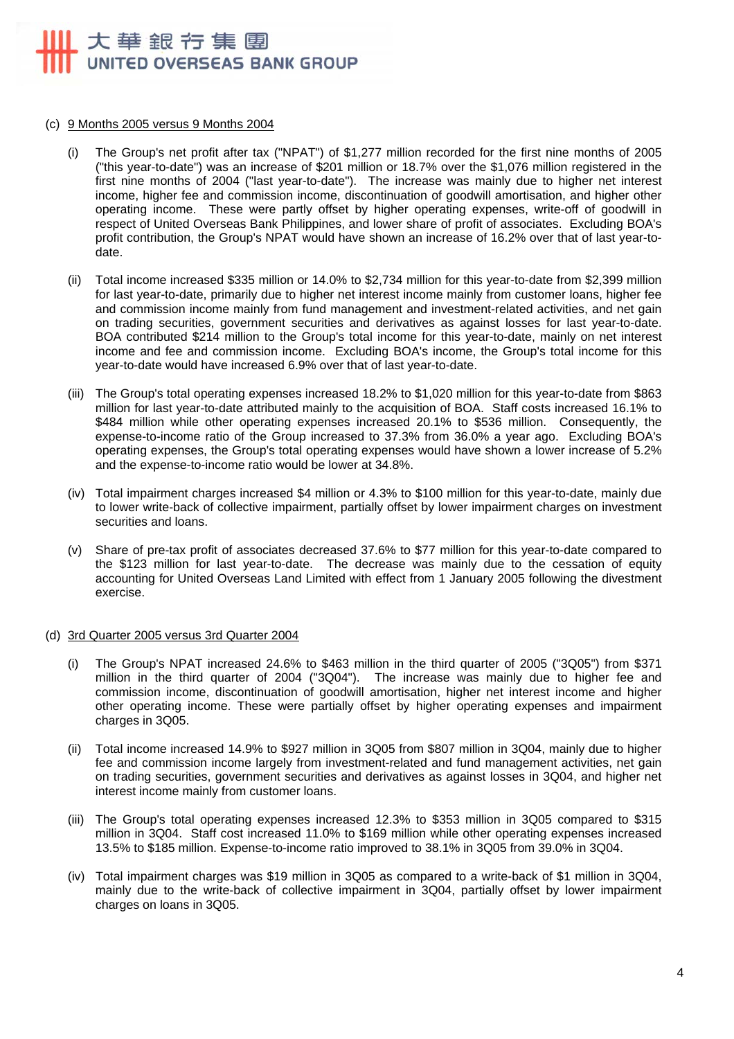# 大華銀行集團 UNITED OVERSEAS BANK GROUP

#### (c) 9 Months 2005 versus 9 Months 2004

- (i) The Group's net profit after tax ("NPAT") of \$1,277 million recorded for the first nine months of 2005 ("this year-to-date") was an increase of \$201 million or 18.7% over the \$1,076 million registered in the first nine months of 2004 ("last year-to-date"). The increase was mainly due to higher net interest income, higher fee and commission income, discontinuation of goodwill amortisation, and higher other operating income. These were partly offset by higher operating expenses, write-off of goodwill in respect of United Overseas Bank Philippines, and lower share of profit of associates. Excluding BOA's profit contribution, the Group's NPAT would have shown an increase of 16.2% over that of last year-todate.
- (ii) Total income increased \$335 million or 14.0% to \$2,734 million for this year-to-date from \$2,399 million for last year-to-date, primarily due to higher net interest income mainly from customer loans, higher fee and commission income mainly from fund management and investment-related activities, and net gain on trading securities, government securities and derivatives as against losses for last year-to-date. BOA contributed \$214 million to the Group's total income for this year-to-date, mainly on net interest income and fee and commission income. Excluding BOA's income, the Group's total income for this year-to-date would have increased 6.9% over that of last year-to-date.
- (iii) The Group's total operating expenses increased 18.2% to \$1,020 million for this year-to-date from \$863 million for last year-to-date attributed mainly to the acquisition of BOA. Staff costs increased 16.1% to \$484 million while other operating expenses increased 20.1% to \$536 million. Consequently, the expense-to-income ratio of the Group increased to 37.3% from 36.0% a year ago. Excluding BOA's operating expenses, the Group's total operating expenses would have shown a lower increase of 5.2% and the expense-to-income ratio would be lower at 34.8%.
- (iv) Total impairment charges increased \$4 million or 4.3% to \$100 million for this year-to-date, mainly due to lower write-back of collective impairment, partially offset by lower impairment charges on investment securities and loans.
- (v) Share of pre-tax profit of associates decreased 37.6% to \$77 million for this year-to-date compared to the \$123 million for last year-to-date. The decrease was mainly due to the cessation of equity accounting for United Overseas Land Limited with effect from 1 January 2005 following the divestment exercise.

#### (d) 3rd Quarter 2005 versus 3rd Quarter 2004

- (i) The Group's NPAT increased 24.6% to \$463 million in the third quarter of 2005 ("3Q05") from \$371 million in the third quarter of 2004 ("3Q04"). The increase was mainly due to higher fee and commission income, discontinuation of goodwill amortisation, higher net interest income and higher other operating income. These were partially offset by higher operating expenses and impairment charges in 3Q05.
- (ii) Total income increased 14.9% to \$927 million in 3Q05 from \$807 million in 3Q04, mainly due to higher fee and commission income largely from investment-related and fund management activities, net gain on trading securities, government securities and derivatives as against losses in 3Q04, and higher net interest income mainly from customer loans.
- (iii) The Group's total operating expenses increased 12.3% to \$353 million in 3Q05 compared to \$315 million in 3Q04. Staff cost increased 11.0% to \$169 million while other operating expenses increased 13.5% to \$185 million. Expense-to-income ratio improved to 38.1% in 3Q05 from 39.0% in 3Q04.
- (iv) Total impairment charges was \$19 million in 3Q05 as compared to a write-back of \$1 million in 3Q04, mainly due to the write-back of collective impairment in 3Q04, partially offset by lower impairment charges on loans in 3Q05.